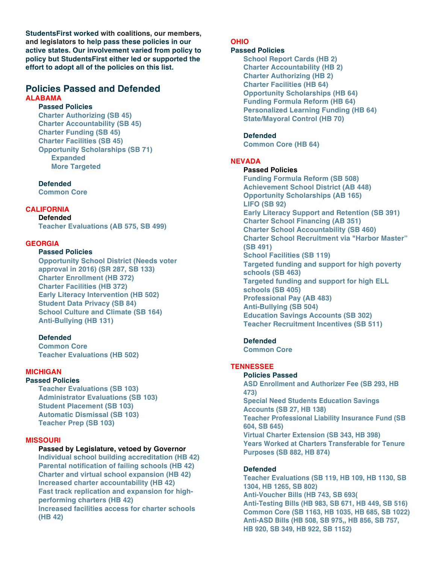**StudentsFirst worked with coalitions, our members, and legislators to help pass these policies in our active states. Our involvement varied from policy to policy but StudentsFirst either led or supported the effort to adopt all of the policies on this list.**

# **Policies Passed and Defended ALABAMA**

# **Passed Policies**

**Charter Authorizing (SB 45) Charter Accountability (SB 45) Charter Funding (SB 45) Charter Facilities (SB 45) Opportunity Scholarships (SB 71) Expanded More Targeted**

**Defended Common Core** 

# **CALIFORNIA**

**Defended Teacher Evaluations (AB 575, SB 499)**

# **GEORGIA**

### **Passed Policies**

**Opportunity School District (Needs voter approval in 2016) (SR 287, SB 133) Charter Enrollment (HB 372) Charter Facilities (HB 372) Early Literacy Intervention (HB 502) Student Data Privacy (SB 84) School Culture and Climate (SB 164) Anti-Bullying (HB 131)**

# **Defended**

**Common Core Teacher Evaluations (HB 502)**

#### **MICHIGAN**

#### **Passed Policies**

**Teacher Evaluations (SB 103) Administrator Evaluations (SB 103) Student Placement (SB 103) Automatic Dismissal (SB 103) Teacher Prep (SB 103)**

#### **MISSOURI**

#### **Passed by Legislature, vetoed by Governor**

**Individual school building accreditation (HB 42) Parental notification of failing schools (HB 42) Charter and virtual school expansion (HB 42) Increased charter accountability (HB 42) Fast track replication and expansion for highperforming charters (HB 42) Increased facilities access for charter schools (HB 42)**

# **OHIO**

# **Passed Policies**

**School Report Cards (HB 2) Charter Accountability (HB 2) Charter Authorizing (HB 2) Charter Facilities (HB 64) Opportunity Scholarships (HB 64) Funding Formula Reform (HB 64) Personalized Learning Funding (HB 64) State/Mayoral Control (HB 70)**

#### **Defended**

**Common Core (HB 64)**

# **NEVADA**

#### **Passed Policies**

**Funding Formula Reform (SB 508) Achievement School District (AB 448) Opportunity Scholarships (AB 165) LIFO (SB 92) Early Literacy Support and Retention (SB 391) Charter School Financing (AB 351) Charter School Accountability (SB 460) Charter School Recruitment via "Harbor Master" (SB 491) School Facilities (SB 119) Targeted funding and support for high poverty schools (SB 463) Targeted funding and support for high ELL schools (SB 405) Professional Pay (AB 483) Anti-Bullying (SB 504) Education Savings Accounts (SB 302) Teacher Recruitment Incentives (SB 511)**

# **Defended**

**Common Core**

# **TENNESSEE**

**Policies Passed ASD Enrollment and Authorizer Fee (SB 293, HB 473) Special Need Students Education Savings Accounts (SB 27, HB 138) Teacher Professional Liability Insurance Fund (SB 604, SB 645) Virtual Charter Extension (SB 343, HB 398) Years Worked at Charters Transferable for Tenure Purposes (SB 882, HB 874)**

#### **Defended**

**Teacher Evaluations (SB 119, HB 109, HB 1130, SB 1304, HB 1265, SB 802) Anti-Voucher Bills (HB 743, SB 693( Anti-Testing Bills (HB 983, SB 671, HB 449, SB 516) Common Core (SB 1163, HB 1035, HB 685, SB 1022) Anti-ASD Bills (HB 508, SB 975,, HB 856, SB 757, HB 920, SB 349, HB 922, SB 1152)**